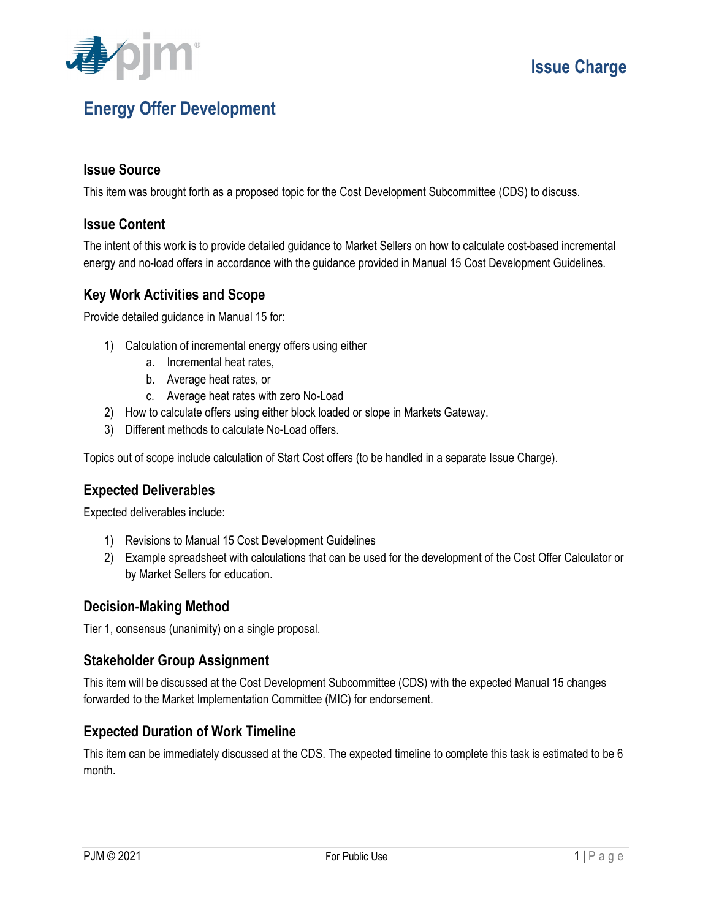

# **Energy Offer Development**

#### **Issue Source**

This item was brought forth as a proposed topic for the Cost Development Subcommittee (CDS) to discuss.

#### **Issue Content**

The intent of this work is to provide detailed guidance to Market Sellers on how to calculate cost-based incremental energy and no-load offers in accordance with the guidance provided in Manual 15 Cost Development Guidelines.

#### **Key Work Activities and Scope**

Provide detailed guidance in Manual 15 for:

- 1) Calculation of incremental energy offers using either
	- a. Incremental heat rates,
	- b. Average heat rates, or
	- c. Average heat rates with zero No-Load
- 2) How to calculate offers using either block loaded or slope in Markets Gateway.
- 3) Different methods to calculate No-Load offers.

Topics out of scope include calculation of Start Cost offers (to be handled in a separate Issue Charge).

### **Expected Deliverables**

Expected deliverables include:

- 1) Revisions to Manual 15 Cost Development Guidelines
- 2) Example spreadsheet with calculations that can be used for the development of the Cost Offer Calculator or by Market Sellers for education.

#### **Decision-Making Method**

Tier 1, consensus (unanimity) on a single proposal.

#### **Stakeholder Group Assignment**

This item will be discussed at the Cost Development Subcommittee (CDS) with the expected Manual 15 changes forwarded to the Market Implementation Committee (MIC) for endorsement.

#### **Expected Duration of Work Timeline**

This item can be immediately discussed at the CDS. The expected timeline to complete this task is estimated to be 6 month.